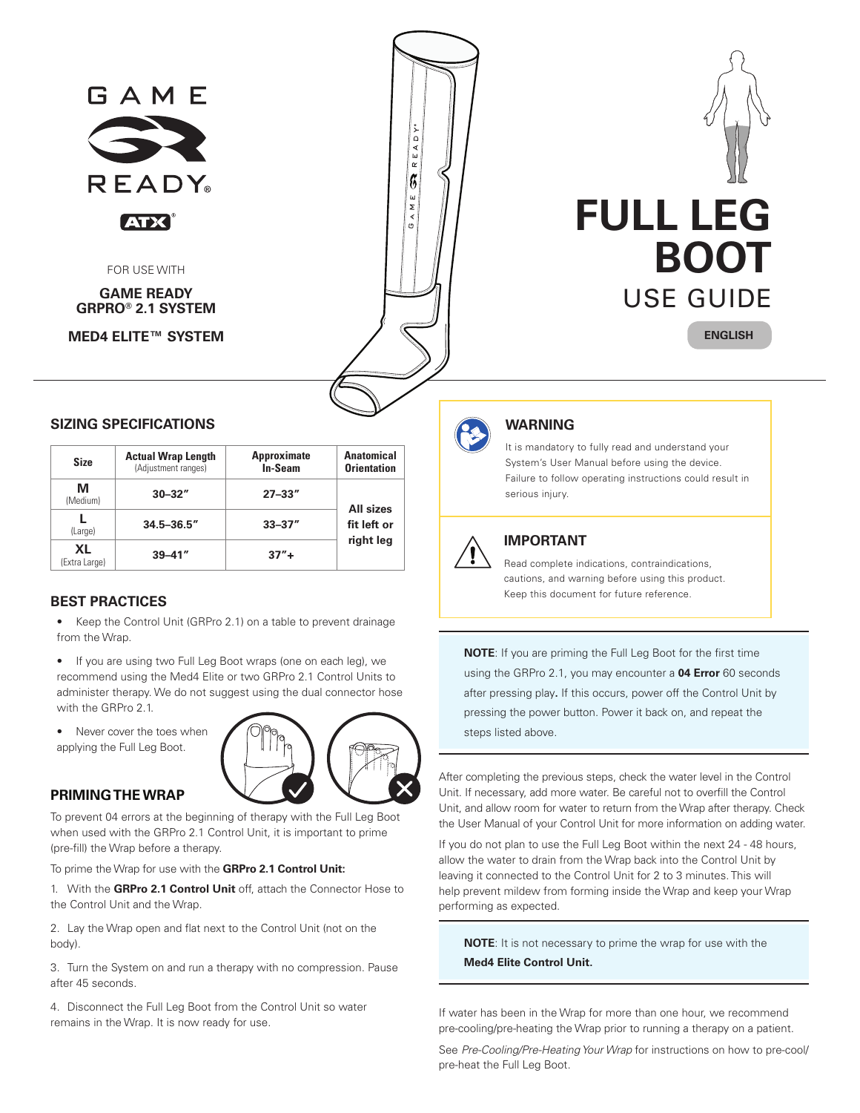

| <b>Size</b>         | <b>Actual Wrap Length</b><br>(Adjustment ranges) | <b>Approximate</b><br><b>In-Seam</b> | <b>Anatomical</b><br><b>Orientation</b> |  |
|---------------------|--------------------------------------------------|--------------------------------------|-----------------------------------------|--|
| М<br>(Medium)       | $30 - 32"$                                       | $27 - 33"$                           | <b>All sizes</b>                        |  |
| (Large)             | $34.5 - 36.5$ "                                  | $33 - 37''$                          | fit left or                             |  |
| XL<br>(Extra Large) | $39 - 41$ "                                      | $37'' +$                             | right leg                               |  |

## **BEST PRACTICES**

- Keep the Control Unit (GRPro 2.1) on a table to prevent drainage from the Wrap.
- If you are using two Full Leg Boot wraps (one on each leg), we recommend using the Med4 Elite or two GRPro 2.1 Control Units to administer therapy. We do not suggest using the dual connector hose with the GRPro 2.1
- Never cover the toes when applying the Full Leg Boot.



### **PRIMING THE WRAP**

To prevent 04 errors at the beginning of therapy with the Full Leg Boot when used with the GRPro 2.1 Control Unit, it is important to prime (pre-fill) the Wrap before a therapy.

To prime the Wrap for use with the **GRPro 2.1 Control Unit:**

1. With the **GRPro 2.1 Control Unit** off, attach the Connector Hose to the Control Unit and the Wrap.

2. Lay the Wrap open and flat next to the Control Unit (not on the body).

3. Turn the System on and run a therapy with no compression. Pause after 45 seconds.

4. Disconnect the Full Leg Boot from the Control Unit so water remains in the Wrap. It is now ready for use.



It is mandatory to fully read and understand your System's User Manual before using the device. Failure to follow operating instructions could result in serious injury.



# **IMPORTANT**

Read complete indications, contraindications, cautions, and warning before using this product. Keep this document for future reference.

**NOTE**: If you are priming the Full Leg Boot for the first time using the GRPro 2.1, you may encounter a **04 Error** 60 seconds after pressing play**.** If this occurs, power off the Control Unit by pressing the power button. Power it back on, and repeat the steps listed above.

After completing the previous steps, check the water level in the Control Unit. If necessary, add more water. Be careful not to overfill the Control Unit, and allow room for water to return from the Wrap after therapy. Check the User Manual of your Control Unit for more information on adding water.

If you do not plan to use the Full Leg Boot within the next 24 - 48 hours, allow the water to drain from the Wrap back into the Control Unit by leaving it connected to the Control Unit for 2 to 3 minutes. This will help prevent mildew from forming inside the Wrap and keep your Wrap performing as expected.

**NOTE**: It is not necessary to prime the wrap for use with the **Med4 Elite Control Unit.**

If water has been in the Wrap for more than one hour, we recommend pre-cooling/pre-heating the Wrap prior to running a therapy on a patient.

See *Pre-Cooling/Pre-Heating Your Wrap* for instructions on how to pre-cool/ pre-heat the Full Leg Boot.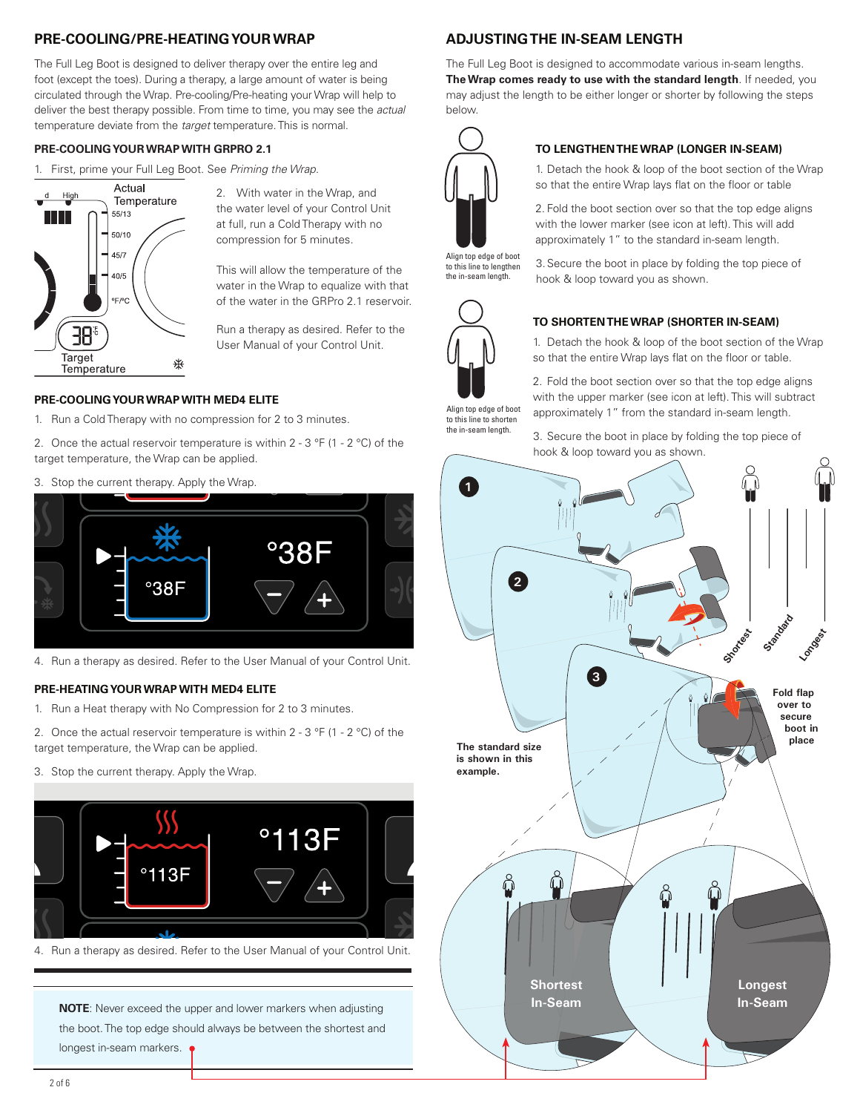# **PRE-COOLING/PRE-HEATING YOUR WRAP**

The Full Leg Boot is designed to deliver therapy over the entire leg and foot (except the toes). During a therapy, a large amount of water is being circulated through the Wrap. Pre-cooling/Pre-heating your Wrap will help to deliver the best therapy possible. From time to time, you may see the *actual* temperature deviate from the *target* temperature. This is normal.

#### **PRE-COOLING YOUR WRAP WITH GRPRO 2.1**

1. First, prime your Full Leg Boot. See *Priming the Wrap.*



2. With water in the Wrap, and the water level of your Control Unit at full, run a Cold Therapy with no compression for 5 minutes.

This will allow the temperature of the water in the Wrap to equalize with that of the water in the GRPro 2.1 reservoir.

Run a therapy as desired. Refer to the User Manual of your Control Unit.

#### **PRE-COOLING YOUR WRAP WITH MED4 ELITE**

1. Run a Cold Therapy with no compression for 2 to 3 minutes.

2. Once the actual reservoir temperature is within 2 - 3  $\degree$ F (1 - 2  $\degree$ C) of the target temperature, the Wrap can be applied.

3. Stop the current therapy. Apply the Wrap.



4. Run a therapy as desired. Refer to the User Manual of your Control Unit.

### **PRE-HEATING YOUR WRAP WITH MED4 ELITE**

- 1. Run a Heat therapy with No Compression for 2 to 3 minutes.
- 2. Once the actual reservoir temperature is within 2 3  $\degree$ F (1 2  $\degree$ C) of the target temperature, the Wrap can be applied.
- 3. Stop the current therapy. Apply the Wrap.



4. Run a therapy as desired. Refer to the User Manual of your Control Unit.

**NOTE**: Never exceed the upper and lower markers when adjusting the boot. The top edge should always be between the shortest and longest in-seam markers.

# **ADJUSTING THE IN-SEAM LENGTH**

The Full Leg Boot is designed to accommodate various in-seam lengths. **The Wrap comes ready to use with the standard length**. If needed, you may adjust the length to be either longer or shorter by following the steps below.



Align top edge of boot to this line to lengthen the in-seam length.



Align top edge of boot to this line to shorten the in-seam length.

### **TO SHORTEN THE WRAP (SHORTER IN-SEAM)**

hook & loop toward you as shown.

**TO LENGTHEN THE WRAP (LONGER IN-SEAM)**

1. Detach the hook & loop of the boot section of the Wrap so that the entire Wrap lays flat on the floor or table 2. Fold the boot section over so that the top edge aligns with the lower marker (see icon at left). This will add approximately 1" to the standard in-seam length. 3.Secure the boot in place by folding the top piece of

1. Detach the hook & loop of the boot section of the Wrap so that the entire Wrap lays flat on the floor or table.

2. Fold the boot section over so that the top edge aligns with the upper marker (see icon at left). This will subtract approximately 1" from the standard in-seam length.

3. Secure the boot in place by folding the top piece of hook & loop toward you as shown.

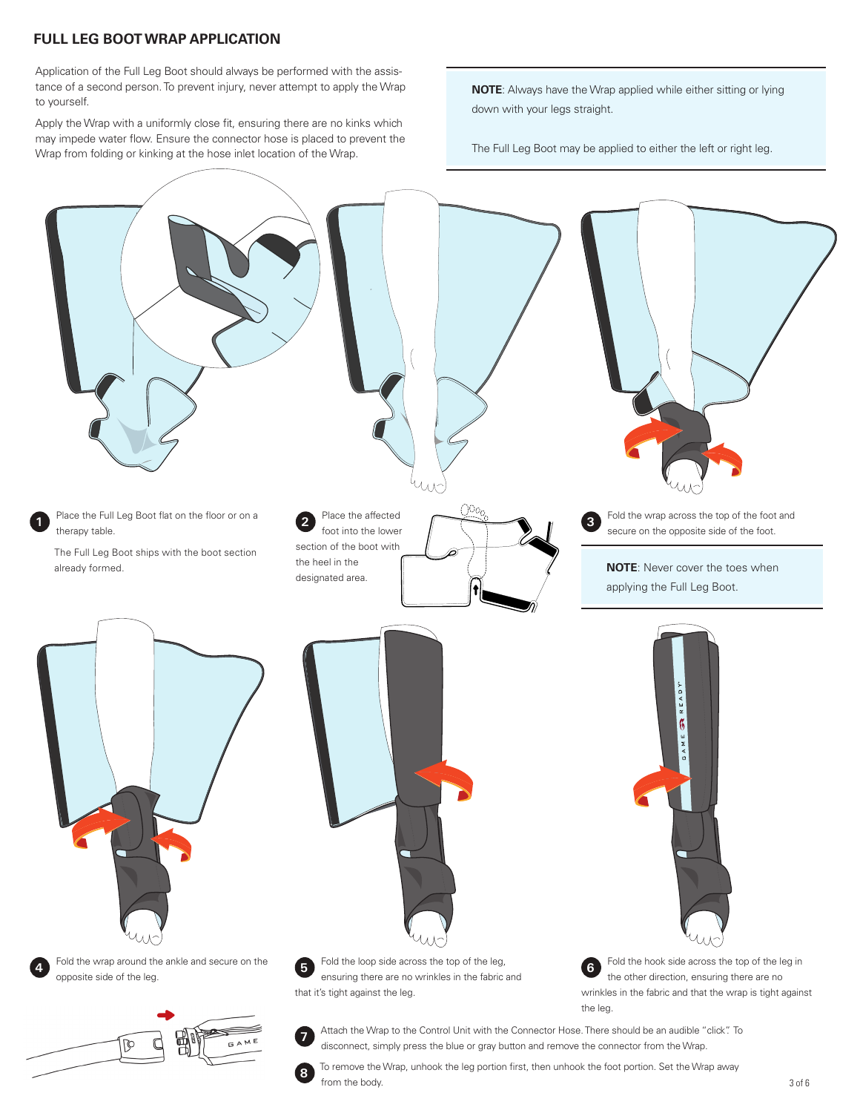# **FULL LEG BOOT WRAP APPLICATION**

Application of the Full Leg Boot should always be performed with the assistance of a second person. To prevent injury, never attempt to apply the Wrap to yourself.

Apply the Wrap with a uniformly close fit, ensuring there are no kinks which may impede water flow. Ensure the connector hose is placed to prevent the Wrap from folding or kinking at the hose inlet location of the Wrap.

**NOTE**: Always have the Wrap applied while either sitting or lying down with your legs straight.

The Full Leg Boot may be applied to either the left or right leg.



**8** To remove the Wrap, unhook the leg portion first, then unhook the foot portion. Set the Wrap away from the body.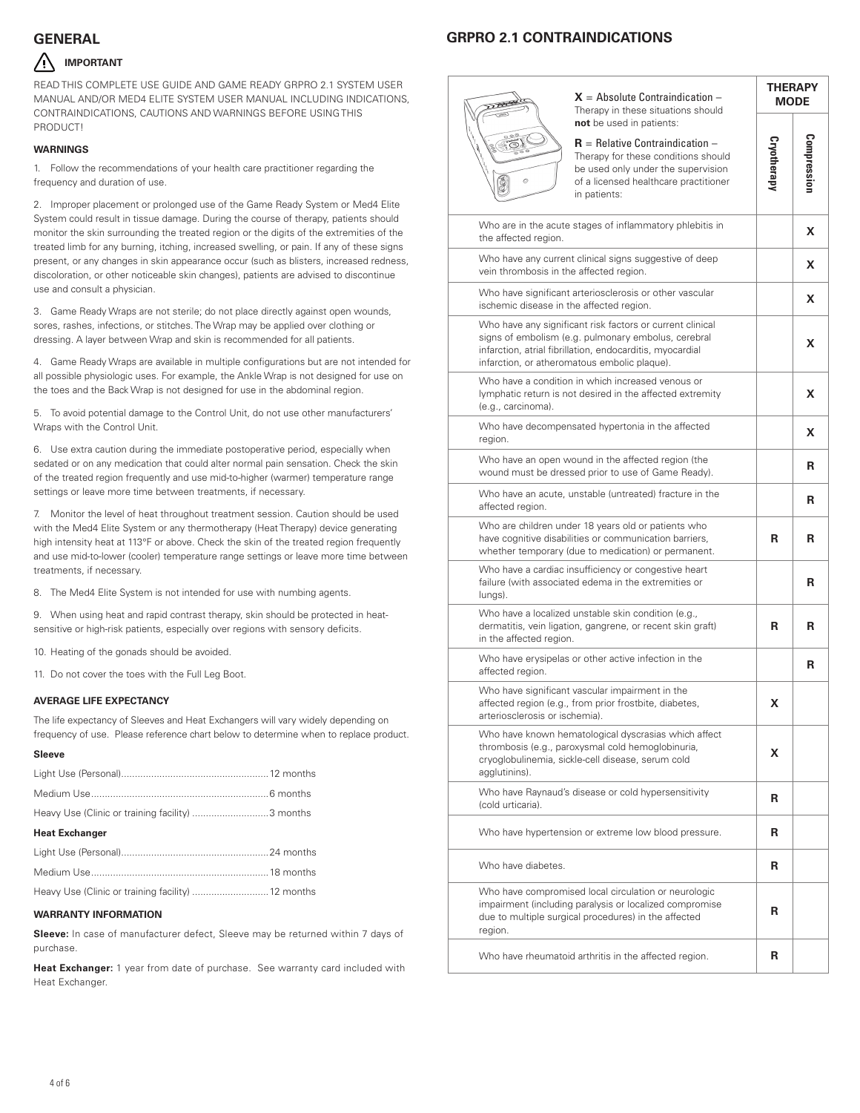# **GENERAL GRPRO 2.1 CONTRAINDICATIONS**

## **IMPORTANT**

READ THIS COMPLETE USE GUIDE AND GAME READY GRPRO 2.1 SYSTEM USER MANUAL AND/OR MED4 ELITE SYSTEM USER MANUAL INCLUDING INDICATIONS, CONTRAINDICATIONS, CAUTIONS AND WARNINGS BEFORE USING THIS PRODUCT!

#### **WARNINGS**

1. Follow the recommendations of your health care practitioner regarding the frequency and duration of use.

2. Improper placement or prolonged use of the Game Ready System or Med4 Elite System could result in tissue damage. During the course of therapy, patients should monitor the skin surrounding the treated region or the digits of the extremities of the treated limb for any burning, itching, increased swelling, or pain. If any of these signs present, or any changes in skin appearance occur (such as blisters, increased redness, discoloration, or other noticeable skin changes), patients are advised to discontinue use and consult a physician.

3. Game Ready Wraps are not sterile; do not place directly against open wounds, sores, rashes, infections, or stitches. The Wrap may be applied over clothing or dressing. A layer between Wrap and skin is recommended for all patients.

4. Game Ready Wraps are available in multiple configurations but are not intended for all possible physiologic uses. For example, the Ankle Wrap is not designed for use on the toes and the Back Wrap is not designed for use in the abdominal region.

5. To avoid potential damage to the Control Unit, do not use other manufacturers' Wraps with the Control Unit.

6. Use extra caution during the immediate postoperative period, especially when sedated or on any medication that could alter normal pain sensation. Check the skin of the treated region frequently and use mid-to-higher (warmer) temperature range settings or leave more time between treatments, if necessary.

7. Monitor the level of heat throughout treatment session. Caution should be used with the Med4 Elite System or any thermotherapy (Heat Therapy) device generating high intensity heat at 113°F or above. Check the skin of the treated region frequently and use mid-to-lower (cooler) temperature range settings or leave more time between treatments, if necessary.

8. The Med4 Elite System is not intended for use with numbing agents.

9. When using heat and rapid contrast therapy, skin should be protected in heatsensitive or high-risk patients, especially over regions with sensory deficits.

10. Heating of the gonads should be avoided.

11. Do not cover the toes with the Full Leg Boot.

#### **AVERAGE LIFE EXPECTANCY**

The life expectancy of Sleeves and Heat Exchangers will vary widely depending on frequency of use. Please reference chart below to determine when to replace product.

#### **Sleeve**

| Heavy Use (Clinic or training facility) 3 months   |  |
|----------------------------------------------------|--|
| <b>Heat Exchanger</b>                              |  |
|                                                    |  |
|                                                    |  |
| Heavy Use (Clinic or training facility)  12 months |  |

#### **WARRANTY INFORMATION**

**Sleeve:** In case of manufacturer defect, Sleeve may be returned within 7 days of purchase.

**Heat Exchanger:** 1 year from date of purchase. See warranty card included with Heat Exchanger.

|  |                                                                                                                                                                                                                               | $\mathsf{X}\xspace$ = Absolute Contraindication –<br>Therapy in these situations should                                                                                                                        | <b>THERAPY</b><br><b>MODE</b> |             |
|--|-------------------------------------------------------------------------------------------------------------------------------------------------------------------------------------------------------------------------------|----------------------------------------------------------------------------------------------------------------------------------------------------------------------------------------------------------------|-------------------------------|-------------|
|  | O)                                                                                                                                                                                                                            | not be used in patients:<br>$\mathbf{R}$ = Relative Contraindication $-$<br>Therapy for these conditions should<br>be used only under the supervision<br>of a licensed healthcare practitioner<br>in patients: | Cryotherapy                   | Compression |
|  | Who are in the acute stages of inflammatory phlebitis in<br>the affected region.                                                                                                                                              |                                                                                                                                                                                                                |                               | x           |
|  | vein thrombosis in the affected region.                                                                                                                                                                                       | Who have any current clinical signs suggestive of deep                                                                                                                                                         |                               | x           |
|  | Who have significant arteriosclerosis or other vascular<br>ischemic disease in the affected region.                                                                                                                           |                                                                                                                                                                                                                |                               | X           |
|  | Who have any significant risk factors or current clinical<br>signs of embolism (e.g. pulmonary embolus, cerebral<br>infarction, atrial fibrillation, endocarditis, myocardial<br>infarction, or atheromatous embolic plaque). |                                                                                                                                                                                                                |                               | x           |
|  | Who have a condition in which increased venous or<br>lymphatic return is not desired in the affected extremity<br>(e.g., carcinoma).                                                                                          |                                                                                                                                                                                                                |                               | x           |
|  | Who have decompensated hypertonia in the affected<br>region.                                                                                                                                                                  |                                                                                                                                                                                                                |                               | X           |
|  | Who have an open wound in the affected region (the<br>wound must be dressed prior to use of Game Ready).                                                                                                                      |                                                                                                                                                                                                                |                               | R           |
|  | Who have an acute, unstable (untreated) fracture in the<br>affected region.                                                                                                                                                   |                                                                                                                                                                                                                |                               | R           |
|  | Who are children under 18 years old or patients who<br>have cognitive disabilities or communication barriers,<br>whether temporary (due to medication) or permanent.                                                          |                                                                                                                                                                                                                |                               | R           |
|  | Who have a cardiac insufficiency or congestive heart<br>failure (with associated edema in the extremities or<br>lungs).                                                                                                       |                                                                                                                                                                                                                |                               | R           |
|  | Who have a localized unstable skin condition (e.g.,<br>dermatitis, vein ligation, gangrene, or recent skin graft)<br>in the affected region.                                                                                  |                                                                                                                                                                                                                |                               | R           |
|  | Who have erysipelas or other active infection in the<br>affected region.                                                                                                                                                      |                                                                                                                                                                                                                |                               | R           |
|  | Who have significant vascular impairment in the<br>affected region (e.g., from prior frostbite, diabetes,<br>arteriosclerosis or ischemia).                                                                                   |                                                                                                                                                                                                                | x                             |             |
|  | agglutinins).                                                                                                                                                                                                                 | Who have known hematological dyscrasias which affect<br>thrombosis (e.g., paroxysmal cold hemoglobinuria,<br>cryoglobulinemia, sickle-cell disease, serum cold                                                 | X                             |             |
|  | Who have Raynaud's disease or cold hypersensitivity<br>(cold urticaria).                                                                                                                                                      |                                                                                                                                                                                                                | R                             |             |
|  | Who have hypertension or extreme low blood pressure.                                                                                                                                                                          |                                                                                                                                                                                                                | R                             |             |
|  | Who have diabetes.                                                                                                                                                                                                            |                                                                                                                                                                                                                |                               |             |
|  | region.                                                                                                                                                                                                                       | Who have compromised local circulation or neurologic<br>impairment (including paralysis or localized compromise<br>due to multiple surgical procedures) in the affected                                        | R                             |             |
|  |                                                                                                                                                                                                                               |                                                                                                                                                                                                                |                               |             |

Who have rheumatoid arthritis in the affected region. **R**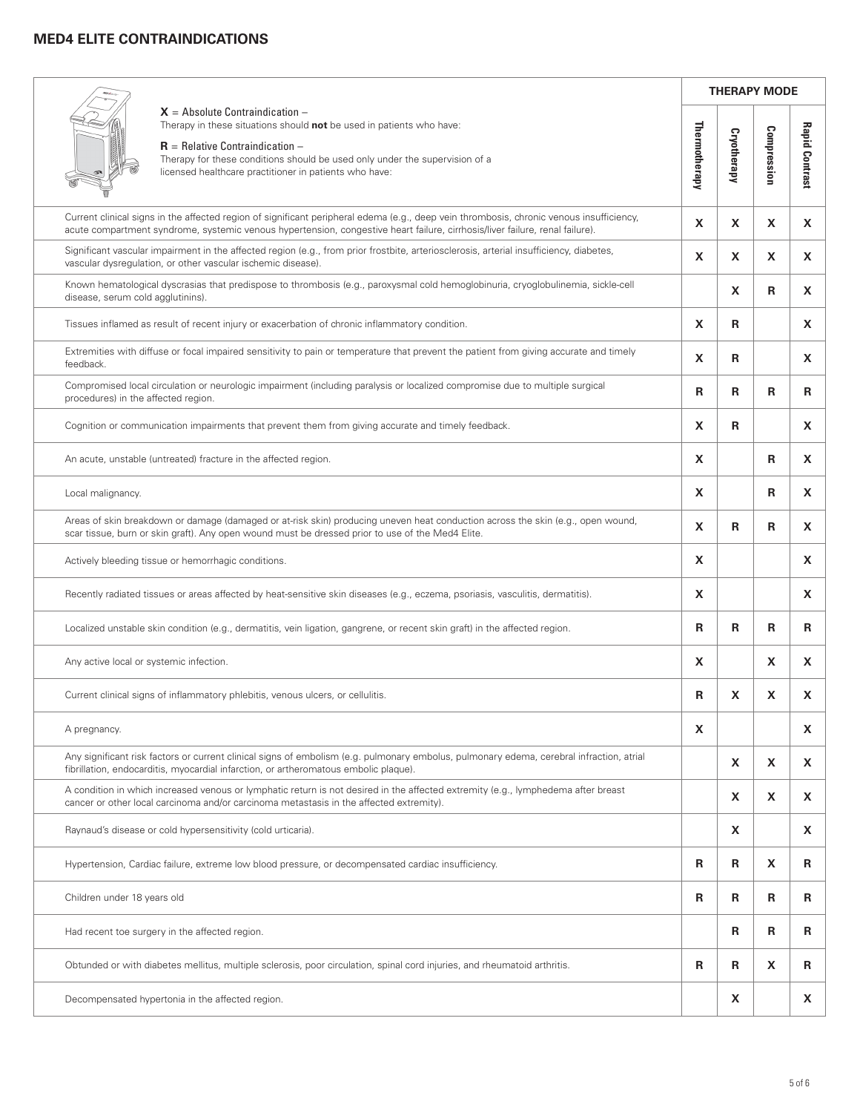# **MED4 ELITE CONTRAINDICATIONS**

 $\overline{a}$ 

|                                                                                                                                                                                                                                                                                           | <b>THERAPY MODE</b> |             |             |                       |
|-------------------------------------------------------------------------------------------------------------------------------------------------------------------------------------------------------------------------------------------------------------------------------------------|---------------------|-------------|-------------|-----------------------|
| $X =$ Absolute Contraindication –<br>Therapy in these situations should not be used in patients who have:<br>$R =$ Relative Contraindication $-$<br>Therapy for these conditions should be used only under the supervision of a<br>licensed healthcare practitioner in patients who have: |                     | Cryotherapy | Compression | <b>Rapid Contrast</b> |
| Current clinical signs in the affected region of significant peripheral edema (e.g., deep vein thrombosis, chronic venous insufficiency,<br>acute compartment syndrome, systemic venous hypertension, congestive heart failure, cirrhosis/liver failure, renal failure).                  | X                   | X           | X           | X                     |
| Significant vascular impairment in the affected region (e.g., from prior frostbite, arteriosclerosis, arterial insufficiency, diabetes,<br>vascular dysregulation, or other vascular ischemic disease).                                                                                   | X                   | X           | X           | X.                    |
| Known hematological dyscrasias that predispose to thrombosis (e.g., paroxysmal cold hemoglobinuria, cryoglobulinemia, sickle-cell<br>disease, serum cold agglutinins).                                                                                                                    |                     | X           | R           | X                     |
| Tissues inflamed as result of recent injury or exacerbation of chronic inflammatory condition.                                                                                                                                                                                            | X                   | R           |             | X.                    |
| Extremities with diffuse or focal impaired sensitivity to pain or temperature that prevent the patient from giving accurate and timely<br>feedback.                                                                                                                                       | X                   | R           |             | X.                    |
| Compromised local circulation or neurologic impairment (including paralysis or localized compromise due to multiple surgical<br>procedures) in the affected region.                                                                                                                       | R                   | R           | R           | R                     |
| Cognition or communication impairments that prevent them from giving accurate and timely feedback.                                                                                                                                                                                        | X                   | R           |             | X.                    |
| An acute, unstable (untreated) fracture in the affected region.                                                                                                                                                                                                                           | X                   |             | R           | X.                    |
| Local malignancy.                                                                                                                                                                                                                                                                         | X                   |             | R           | X.                    |
| Areas of skin breakdown or damage (damaged or at-risk skin) producing uneven heat conduction across the skin (e.g., open wound,<br>scar tissue, burn or skin graft). Any open wound must be dressed prior to use of the Med4 Elite.                                                       | X                   | R           | R           | X                     |
| Actively bleeding tissue or hemorrhagic conditions.                                                                                                                                                                                                                                       |                     |             |             | X.                    |
| Recently radiated tissues or areas affected by heat-sensitive skin diseases (e.g., eczema, psoriasis, vasculitis, dermatitis).                                                                                                                                                            |                     |             |             | X.                    |
| Localized unstable skin condition (e.g., dermatitis, vein ligation, gangrene, or recent skin graft) in the affected region.                                                                                                                                                               |                     | R           | R           | R                     |
| Any active local or systemic infection.                                                                                                                                                                                                                                                   |                     |             | X           | X.                    |
| Current clinical signs of inflammatory phlebitis, venous ulcers, or cellulitis.                                                                                                                                                                                                           | R                   | X           | X           | X.                    |
| A pregnancy.                                                                                                                                                                                                                                                                              |                     |             |             | X.                    |
| Any significant risk factors or current clinical signs of embolism (e.g. pulmonary embolus, pulmonary edema, cerebral infraction, atrial<br>fibrillation, endocarditis, myocardial infarction, or artheromatous embolic plaque).                                                          |                     | X           | X           | X.                    |
| A condition in which increased venous or lymphatic return is not desired in the affected extremity (e.g., lymphedema after breast<br>cancer or other local carcinoma and/or carcinoma metastasis in the affected extremity).                                                              |                     | X           | X           | X.                    |
| Raynaud's disease or cold hypersensitivity (cold urticaria).                                                                                                                                                                                                                              |                     | X           |             | X.                    |
| Hypertension, Cardiac failure, extreme low blood pressure, or decompensated cardiac insufficiency.                                                                                                                                                                                        |                     | R           | X           | R                     |
| Children under 18 years old                                                                                                                                                                                                                                                               |                     | R           | R           | R                     |
| Had recent toe surgery in the affected region.                                                                                                                                                                                                                                            |                     | R           | R           | R                     |
| Obtunded or with diabetes mellitus, multiple sclerosis, poor circulation, spinal cord injuries, and rheumatoid arthritis.                                                                                                                                                                 |                     | R           | X           | R                     |
| Decompensated hypertonia in the affected region.                                                                                                                                                                                                                                          |                     | X           |             | X.                    |